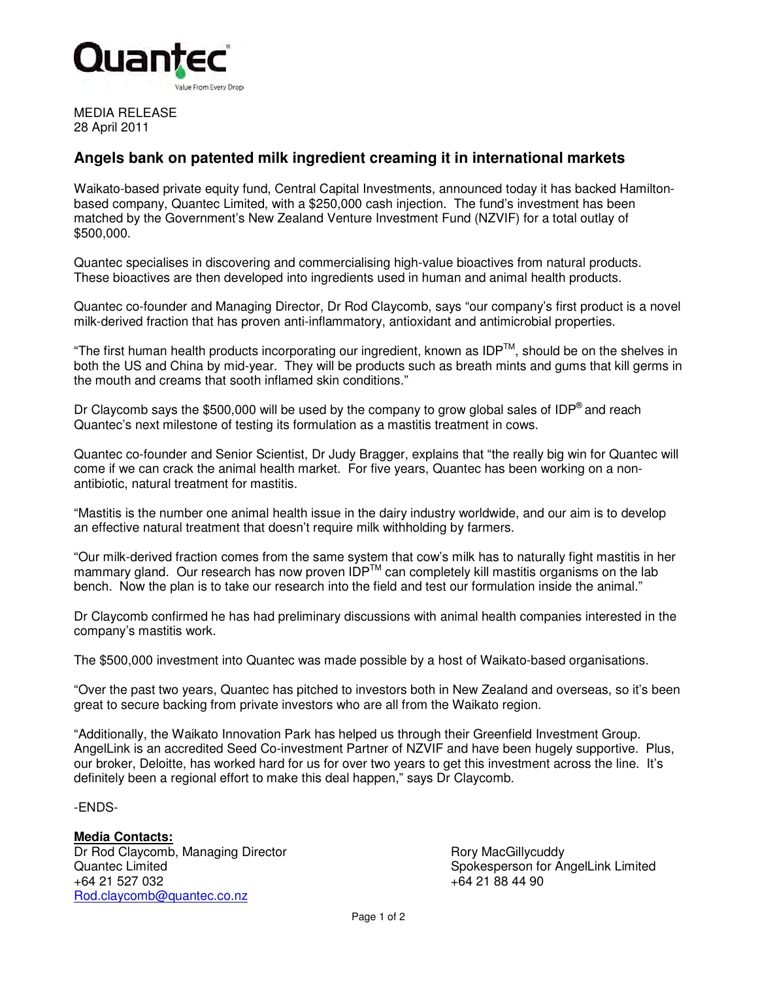

MEDIA RELEASE 28 April 2011

## **Angels bank on patented milk ingredient creaming it in international markets**

Waikato-based private equity fund, Central Capital Investments, announced today it has backed Hamiltonbased company, Quantec Limited, with a \$250,000 cash injection. The fund's investment has been matched by the Government's New Zealand Venture Investment Fund (NZVIF) for a total outlay of \$500,000.

Quantec specialises in discovering and commercialising high-value bioactives from natural products. These bioactives are then developed into ingredients used in human and animal health products.

Quantec co-founder and Managing Director, Dr Rod Claycomb, says "our company's first product is a novel milk-derived fraction that has proven anti-inflammatory, antioxidant and antimicrobial properties.

"The first human health products incorporating our ingredient, known as IDPTM, should be on the shelves in both the US and China by mid-year. They will be products such as breath mints and gums that kill germs in the mouth and creams that sooth inflamed skin conditions."

Dr Claycomb says the \$500,000 will be used by the company to grow global sales of IDP<sup>®</sup> and reach Quantec's next milestone of testing its formulation as a mastitis treatment in cows.

Quantec co-founder and Senior Scientist, Dr Judy Bragger, explains that "the really big win for Quantec will come if we can crack the animal health market. For five years, Quantec has been working on a nonantibiotic, natural treatment for mastitis.

"Mastitis is the number one animal health issue in the dairy industry worldwide, and our aim is to develop an effective natural treatment that doesn't require milk withholding by farmers.

"Our milk-derived fraction comes from the same system that cow's milk has to naturally fight mastitis in her mammary gland. Our research has now proven  $\text{IDP}^{TM}$  can completely kill mastitis organisms on the lab bench. Now the plan is to take our research into the field and test our formulation inside the animal."

Dr Claycomb confirmed he has had preliminary discussions with animal health companies interested in the company's mastitis work.

The \$500,000 investment into Quantec was made possible by a host of Waikato-based organisations.

"Over the past two years, Quantec has pitched to investors both in New Zealand and overseas, so it's been great to secure backing from private investors who are all from the Waikato region.

"Additionally, the Waikato Innovation Park has helped us through their Greenfield Investment Group. AngelLink is an accredited Seed Co-investment Partner of NZVIF and have been hugely supportive. Plus, our broker, Deloitte, has worked hard for us for over two years to get this investment across the line. It's definitely been a regional effort to make this deal happen," says Dr Claycomb.

-ENDS-

**Media Contacts:** Dr Rod Claycomb, Managing Director **Rory Accident Rory MacGillycuddy** Quantec Limited Spokesperson for AngelLink Limited Spokesperson for AngelLink Limited +64 21 527 032 +64 21 88 44 90 Rod.claycomb@quantec.co.nz